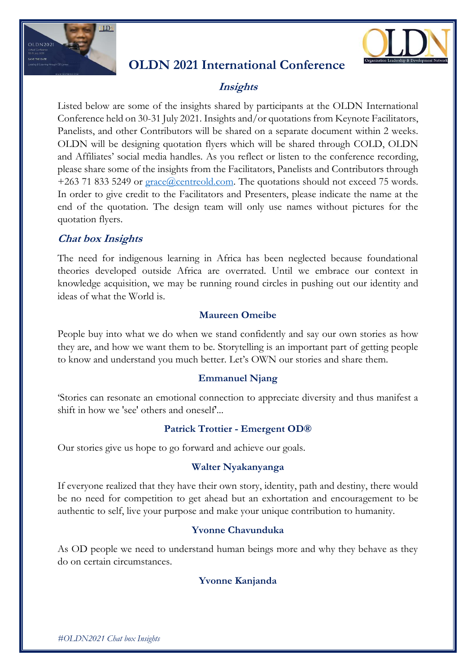

# **OLDN 2021 International Conference**

# **Insights**

Listed below are some of the insights shared by participants at the OLDN International Conference held on 30-31 July 2021. Insights and/or quotations from Keynote Facilitators, Panelists, and other Contributors will be shared on a separate document within 2 weeks. OLDN will be designing quotation flyers which will be shared through COLD, OLDN and Affiliates' social media handles. As you reflect or listen to the conference recording, please share some of the insights from the Facilitators, Panelists and Contributors through +263 71 833 5249 or **grace**@centreold.com. The quotations should not exceed 75 words. In order to give credit to the Facilitators and Presenters, please indicate the name at the end of the quotation. The design team will only use names without pictures for the quotation flyers.

## **Chat box Insights**

The need for indigenous learning in Africa has been neglected because foundational theories developed outside Africa are overrated. Until we embrace our context in knowledge acquisition, we may be running round circles in pushing out our identity and ideas of what the World is.

## **Maureen Omeibe**

People buy into what we do when we stand confidently and say our own stories as how they are, and how we want them to be. Storytelling is an important part of getting people to know and understand you much better. Let's OWN our stories and share them.

## **Emmanuel Njang**

'Stories can resonate an emotional connection to appreciate diversity and thus manifest a shift in how we 'see' others and oneself'...

## **Patrick Trottier - Emergent OD®**

Our stories give us hope to go forward and achieve our goals.

#### **Walter Nyakanyanga**

If everyone realized that they have their own story, identity, path and destiny, there would be no need for competition to get ahead but an exhortation and encouragement to be authentic to self, live your purpose and make your unique contribution to humanity.

## **Yvonne Chavunduka**

As OD people we need to understand human beings more and why they behave as they do on certain circumstances.

# **Yvonne Kanjanda**

*#OLDN2021 Chat box Insights*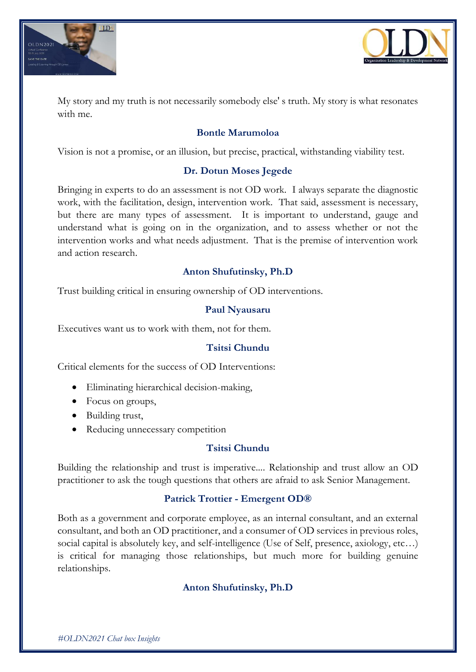



My story and my truth is not necessarily somebody else' s truth. My story is what resonates with me.

#### **Bontle Marumoloa**

Vision is not a promise, or an illusion, but precise, practical, withstanding viability test.

## **Dr. Dotun Moses Jegede**

Bringing in experts to do an assessment is not OD work. I always separate the diagnostic work, with the facilitation, design, intervention work. That said, assessment is necessary, but there are many types of assessment. It is important to understand, gauge and understand what is going on in the organization, and to assess whether or not the intervention works and what needs adjustment. That is the premise of intervention work and action research.

## **Anton Shufutinsky, Ph.D**

Trust building critical in ensuring ownership of OD interventions.

#### **Paul Nyausaru**

Executives want us to work with them, not for them.

#### **Tsitsi Chundu**

Critical elements for the success of OD Interventions:

- Eliminating hierarchical decision-making,
- Focus on groups,
- Building trust,
- Reducing unnecessary competition

## **Tsitsi Chundu**

Building the relationship and trust is imperative.... Relationship and trust allow an OD practitioner to ask the tough questions that others are afraid to ask Senior Management.

## **Patrick Trottier - Emergent OD®**

Both as a government and corporate employee, as an internal consultant, and an external consultant, and both an OD practitioner, and a consumer of OD services in previous roles, social capital is absolutely key, and self-intelligence (Use of Self, presence, axiology, etc…) is critical for managing those relationships, but much more for building genuine relationships.

## **Anton Shufutinsky, Ph.D**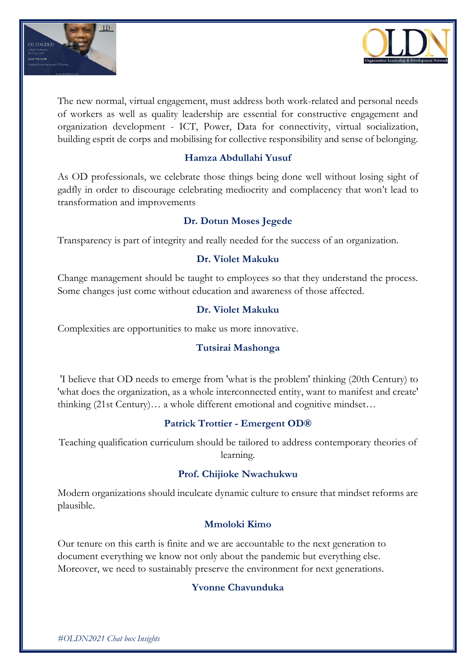



The new normal, virtual engagement, must address both work-related and personal needs of workers as well as quality leadership are essential for constructive engagement and organization development - ICT, Power, Data for connectivity, virtual socialization, building esprit de corps and mobilising for collective responsibility and sense of belonging.

#### **Hamza Abdullahi Yusuf**

As OD professionals, we celebrate those things being done well without losing sight of gadfly in order to discourage celebrating mediocrity and complacency that won't lead to transformation and improvements

#### **Dr. Dotun Moses Jegede**

Transparency is part of integrity and really needed for the success of an organization.

#### **Dr. Violet Makuku**

Change management should be taught to employees so that they understand the process. Some changes just come without education and awareness of those affected.

#### **Dr. Violet Makuku**

Complexities are opportunities to make us more innovative.

#### **Tutsirai Mashonga**

'I believe that OD needs to emerge from 'what is the problem' thinking (20th Century) to 'what does the organization, as a whole interconnected entity, want to manifest and create' thinking (21st Century)… a whole different emotional and cognitive mindset…

## **Patrick Trottier - Emergent OD®**

Teaching qualification curriculum should be tailored to address contemporary theories of learning.

#### **Prof. Chijioke Nwachukwu**

Modern organizations should inculcate dynamic culture to ensure that mindset reforms are plausible.

#### **Mmoloki Kimo**

Our tenure on this earth is finite and we are accountable to the next generation to document everything we know not only about the pandemic but everything else. Moreover, we need to sustainably preserve the environment for next generations.

#### **Yvonne Chavunduka**